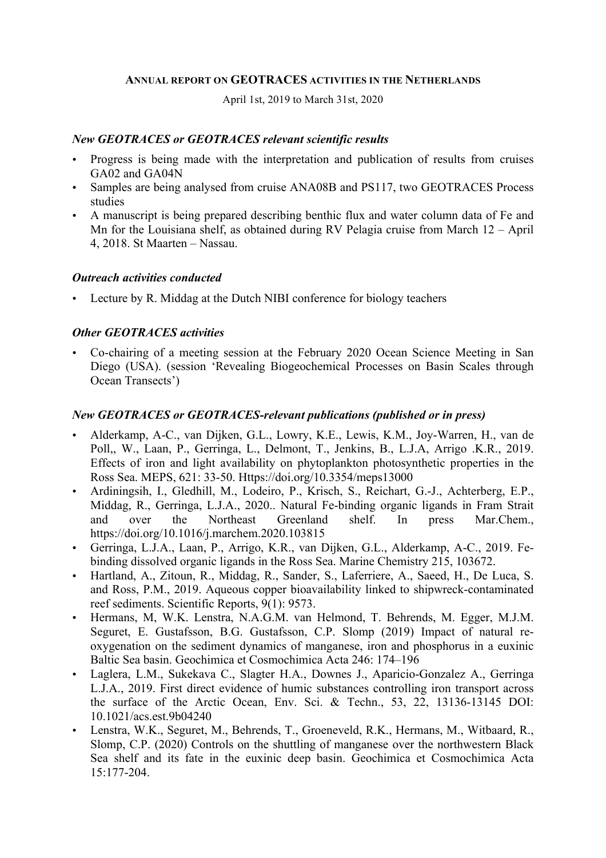### **ANNUAL REPORT ON GEOTRACES ACTIVITIES IN THE NETHERLANDS**

April 1st, 2019 to March 31st, 2020

# *New GEOTRACES or GEOTRACES relevant scientific results*

- Progress is being made with the interpretation and publication of results from cruises GA02 and GA04N
- Samples are being analysed from cruise ANA08B and PS117, two GEOTRACES Process studies
- A manuscript is being prepared describing benthic flux and water column data of Fe and Mn for the Louisiana shelf, as obtained during RV Pelagia cruise from March 12 – April 4, 2018. St Maarten – Nassau.

### *Outreach activities conducted*

• Lecture by R. Middag at the Dutch NIBI conference for biology teachers

# *Other GEOTRACES activities*

• Co-chairing of a meeting session at the February 2020 Ocean Science Meeting in San Diego (USA). (session 'Revealing Biogeochemical Processes on Basin Scales through Ocean Transects')

# *New GEOTRACES or GEOTRACES-relevant publications (published or in press)*

- Alderkamp, A-C., van Dijken, G.L., Lowry, K.E., Lewis, K.M., Joy-Warren, H., van de Poll,, W., Laan, P., Gerringa, L., Delmont, T., Jenkins, B., L.J.A, Arrigo .K.R., 2019. Effects of iron and light availability on phytoplankton photosynthetic properties in the Ross Sea. MEPS, 621: 33-50. Https://doi.org/10.3354/meps13000
- Ardiningsih, I., Gledhill, M., Lodeiro, P., Krisch, S., Reichart, G.-J., Achterberg, E.P., Middag, R., Gerringa, L.J.A., 2020.. Natural Fe-binding organic ligands in Fram Strait and over the Northeast Greenland shelf. In press Mar.Chem., https://doi.org/10.1016/j.marchem.2020.103815
- Gerringa, L.J.A., Laan, P., Arrigo, K.R., van Dijken, G.L., Alderkamp, A-C., 2019. Febinding dissolved organic ligands in the Ross Sea. Marine Chemistry 215, 103672.
- Hartland, A., Zitoun, R., Middag, R., Sander, S., Laferriere, A., Saeed, H., De Luca, S. and Ross, P.M., 2019. Aqueous copper bioavailability linked to shipwreck-contaminated reef sediments. Scientific Reports, 9(1): 9573.
- Hermans, M, W.K. Lenstra, N.A.G.M. van Helmond, T. Behrends, M. Egger, M.J.M. Seguret, E. Gustafsson, B.G. Gustafsson, C.P. Slomp (2019) Impact of natural reoxygenation on the sediment dynamics of manganese, iron and phosphorus in a euxinic Baltic Sea basin. Geochimica et Cosmochimica Acta 246: 174–196
- Laglera, L.M., Sukekava C., Slagter H.A., Downes J., Aparicio-Gonzalez A., Gerringa L.J.A., 2019. First direct evidence of humic substances controlling iron transport across the surface of the Arctic Ocean, Env. Sci. & Techn., 53, 22, 13136-13145 DOI: 10.1021/acs.est.9b04240
- Lenstra, W.K., Seguret, M., Behrends, T., Groeneveld, R.K., Hermans, M., Witbaard, R., Slomp, C.P. (2020) Controls on the shuttling of manganese over the northwestern Black Sea shelf and its fate in the euxinic deep basin. Geochimica et Cosmochimica Acta  $15 \cdot 177 - 204$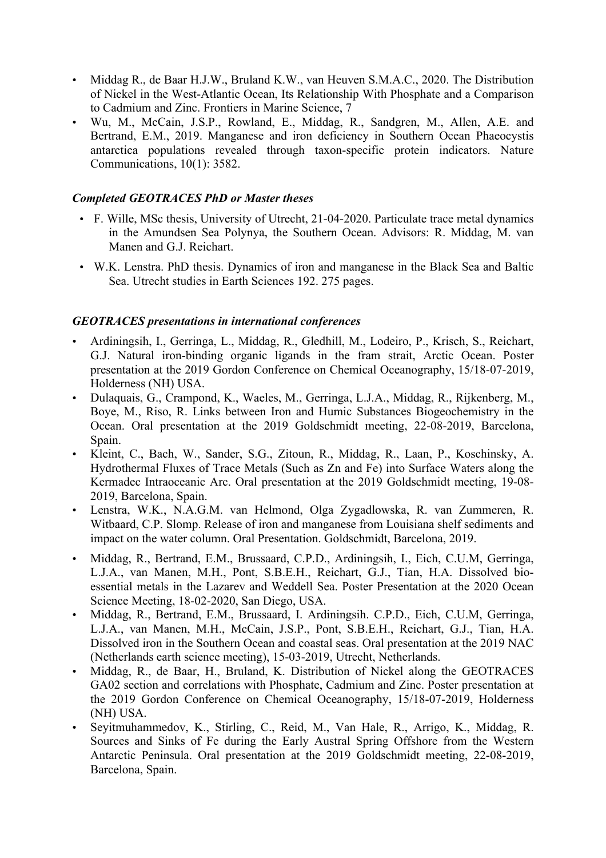- Middag R., de Baar H.J.W., Bruland K.W., van Heuven S.M.A.C., 2020. The Distribution of Nickel in the West-Atlantic Ocean, Its Relationship With Phosphate and a Comparison to Cadmium and Zinc. Frontiers in Marine Science, 7
- Wu, M., McCain, J.S.P., Rowland, E., Middag, R., Sandgren, M., Allen, A.E. and Bertrand, E.M., 2019. Manganese and iron deficiency in Southern Ocean Phaeocystis antarctica populations revealed through taxon-specific protein indicators. Nature Communications, 10(1): 3582.

# *Completed GEOTRACES PhD or Master theses*

- F. Wille, MSc thesis, University of Utrecht, 21-04-2020. Particulate trace metal dynamics in the Amundsen Sea Polynya, the Southern Ocean. Advisors: R. Middag, M. van Manen and G.J. Reichart.
- W.K. Lenstra. PhD thesis. Dynamics of iron and manganese in the Black Sea and Baltic Sea. Utrecht studies in Earth Sciences 192. 275 pages.

# *GEOTRACES presentations in international conferences*

- Ardiningsih, I., Gerringa, L., Middag, R., Gledhill, M., Lodeiro, P., Krisch, S., Reichart, G.J. Natural iron-binding organic ligands in the fram strait, Arctic Ocean. Poster presentation at the 2019 Gordon Conference on Chemical Oceanography, 15/18-07-2019, Holderness (NH) USA.
- Dulaquais, G., Crampond, K., Waeles, M., Gerringa, L.J.A., Middag, R., Rijkenberg, M., Boye, M., Riso, R. Links between Iron and Humic Substances Biogeochemistry in the Ocean. Oral presentation at the 2019 Goldschmidt meeting, 22-08-2019, Barcelona, Spain.
- Kleint, C., Bach, W., Sander, S.G., Zitoun, R., Middag, R., Laan, P., Koschinsky, A. Hydrothermal Fluxes of Trace Metals (Such as Zn and Fe) into Surface Waters along the Kermadec Intraoceanic Arc. Oral presentation at the 2019 Goldschmidt meeting, 19-08- 2019, Barcelona, Spain.
- Lenstra, W.K., N.A.G.M. van Helmond, Olga Zygadlowska, R. van Zummeren, R. Witbaard, C.P. Slomp. Release of iron and manganese from Louisiana shelf sediments and impact on the water column. Oral Presentation. Goldschmidt, Barcelona, 2019.
- Middag, R., Bertrand, E.M., Brussaard, C.P.D., Ardiningsih, I., Eich, C.U.M, Gerringa, L.J.A., van Manen, M.H., Pont, S.B.E.H., Reichart, G.J., Tian, H.A. Dissolved bioessential metals in the Lazarev and Weddell Sea. Poster Presentation at the 2020 Ocean Science Meeting, 18-02-2020, San Diego, USA.
- Middag, R., Bertrand, E.M., Brussaard, I. Ardiningsih. C.P.D., Eich, C.U.M, Gerringa, L.J.A., van Manen, M.H., McCain, J.S.P., Pont, S.B.E.H., Reichart, G.J., Tian, H.A. Dissolved iron in the Southern Ocean and coastal seas. Oral presentation at the 2019 NAC (Netherlands earth science meeting), 15-03-2019, Utrecht, Netherlands.
- Middag, R., de Baar, H., Bruland, K. Distribution of Nickel along the GEOTRACES GA02 section and correlations with Phosphate, Cadmium and Zinc. Poster presentation at the 2019 Gordon Conference on Chemical Oceanography, 15/18-07-2019, Holderness (NH) USA.
- Seyitmuhammedov, K., Stirling, C., Reid, M., Van Hale, R., Arrigo, K., Middag, R. Sources and Sinks of Fe during the Early Austral Spring Offshore from the Western Antarctic Peninsula. Oral presentation at the 2019 Goldschmidt meeting, 22-08-2019, Barcelona, Spain.